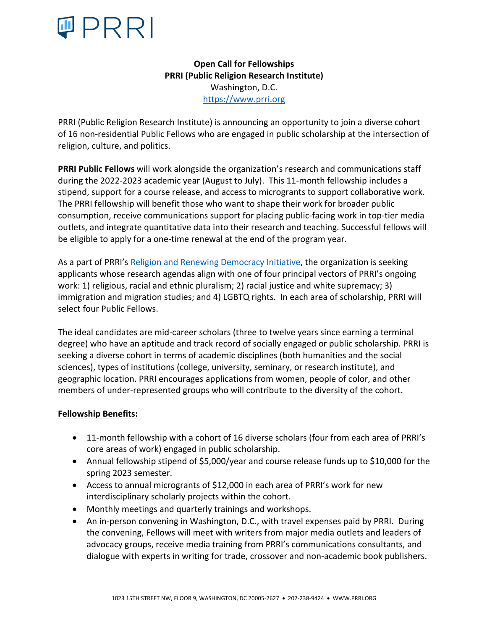

**Open Call for Fellowships PRRI (Public Religion Research Institute)** Washington, D.C. https://www.prri.org

PRRI (Public Religion Research Institute) is announcing an opportunity to join a diverse cohort of 16 non-residential Public Fellows who are engaged in public scholarship at the intersection of religion, culture, and politics.

**PRRI Public Fellows** will work alongside the organization's research and communications staff during the 2022-2023 academic year (August to July). This 11-month fellowship includes a stipend, support for a course release, and access to microgrants to support collaborative work. The PRRI fellowship will benefit those who want to shape their work for broader public consumption, receive communications support for placing public-facing work in top-tier media outlets, and integrate quantitative data into their research and teaching. Successful fellows will be eligible to apply for a one-time renewal at the end of the program year.

As a part of PRRI's Religion and Renewing Democracy Initiative, the organization is seeking applicants whose research agendas align with one of four principal vectors of PRRI's ongoing work: 1) religious, racial and ethnic pluralism; 2) racial justice and white supremacy; 3) immigration and migration studies; and 4) LGBTQ rights. In each area of scholarship, PRRI will select four Public Fellows.

The ideal candidates are mid-career scholars (three to twelve years since earning a terminal degree) who have an aptitude and track record of socially engaged or public scholarship. PRRI is seeking a diverse cohort in terms of academic disciplines (both humanities and the social sciences), types of institutions (college, university, seminary, or research institute), and geographic location. PRRI encourages applications from women, people of color, and other members of under-represented groups who will contribute to the diversity of the cohort.

## **Fellowship Benefits:**

- 11-month fellowship with a cohort of 16 diverse scholars (four from each area of PRRI's core areas of work) engaged in public scholarship.
- Annual fellowship stipend of \$5,000/year and course release funds up to \$10,000 for the spring 2023 semester.
- Access to annual microgrants of \$12,000 in each area of PRRI's work for new interdisciplinary scholarly projects within the cohort.
- Monthly meetings and quarterly trainings and workshops.
- An in-person convening in Washington, D.C., with travel expenses paid by PRRI. During the convening, Fellows will meet with writers from major media outlets and leaders of advocacy groups, receive media training from PRRI's communications consultants, and dialogue with experts in writing for trade, crossover and non-academic book publishers.